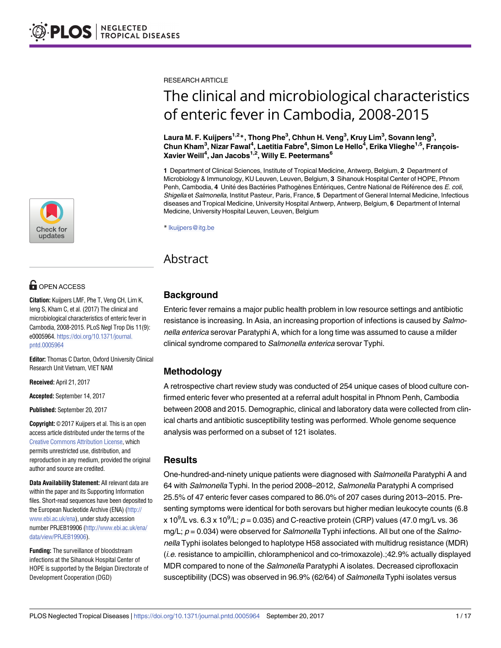

# **OPEN ACCESS**

**Citation:** Kuijpers LMF, Phe T, Veng CH, Lim K, Ieng S, Kham C, et al. (2017) The clinical and microbiological characteristics of enteric fever in Cambodia, 2008-2015. PLoS Negl Trop Dis 11(9): e0005964. [https://doi.org/10.1371/journal.](https://doi.org/10.1371/journal.pntd.0005964) [pntd.0005964](https://doi.org/10.1371/journal.pntd.0005964)

**Editor:** Thomas C Darton, Oxford University Clinical Research Unit Vietnam, VIET NAM

**Received:** April 21, 2017

**Accepted:** September 14, 2017

**Published:** September 20, 2017

**Copyright:** © 2017 Kuijpers et al. This is an open access article distributed under the terms of the Creative Commons [Attribution](http://creativecommons.org/licenses/by/4.0/) License, which permits unrestricted use, distribution, and reproduction in any medium, provided the original author and source are credited.

**Data Availability Statement:** All relevant data are within the paper and its Supporting Information files. Short-read sequences have been deposited to the European Nucleotide Archive (ENA) ([http://](http://www.ebi.ac.uk/ena) [www.ebi.ac.uk/ena\)](http://www.ebi.ac.uk/ena), under study accession number PRJEB19906 [\(http://www.ebi.ac.uk/ena/](http://www.ebi.ac.uk/ena/data/view/PRJEB19906) [data/view/PRJEB19906](http://www.ebi.ac.uk/ena/data/view/PRJEB19906)).

**Funding:** The surveillance of bloodstream infections at the Sihanouk Hospital Center of HOPE is supported by the Belgian Directorate of Development Cooperation (DGD)

RESEARCH ARTICLE

# The clinical and microbiological characteristics of enteric fever in Cambodia, 2008-2015

 $\mathsf{L}$ aura M. F. Kuijpers $^{1,2}$ \*, Thong Phe $^3$ , Chhun H. Veng $^3$ , Kruy Lim $^3$ , Sovann leng $^3$ , **Chun Kham3 , Nizar Fawal4 , Laetitia Fabre4 , Simon Le Hello4 , Erika Vlieghe1,5, Franc¸ois-Xavier Weill4 , Jan Jacobs1,2, Willy E. Peetermans6**

**1** Department of Clinical Sciences, Institute of Tropical Medicine, Antwerp, Belgium, **2** Department of Microbiology & Immunology, KU Leuven, Leuven, Belgium, **3** Sihanouk Hospital Center of HOPE, Phnom Penh, Cambodia, 4 Unité des Bactéries Pathogènes Entériques, Centre National de Référence des E. coli, Shigella et Salmonella, Institut Pasteur, Paris, France, **5** Department of General Internal Medicine, Infectious diseases and Tropical Medicine, University Hospital Antwerp, Antwerp, Belgium, **6** Department of Internal Medicine, University Hospital Leuven, Leuven, Belgium

\* lkuijpers@itg.be

## Abstract

## **Background**

Enteric fever remains a major public health problem in low resource settings and antibiotic resistance is increasing. In Asia, an increasing proportion of infections is caused by Salmonella enterica serovar Paratyphi A, which for a long time was assumed to cause a milder clinical syndrome compared to Salmonella enterica serovar Typhi.

## **Methodology**

A retrospective chart review study was conducted of 254 unique cases of blood culture confirmed enteric fever who presented at a referral adult hospital in Phnom Penh, Cambodia between 2008 and 2015. Demographic, clinical and laboratory data were collected from clinical charts and antibiotic susceptibility testing was performed. Whole genome sequence analysis was performed on a subset of 121 isolates.

#### **Results**

One-hundred-and-ninety unique patients were diagnosed with Salmonella Paratyphi A and 64 with Salmonella Typhi. In the period 2008–2012, Salmonella Paratyphi A comprised 25.5% of 47 enteric fever cases compared to 86.0% of 207 cases during 2013–2015. Presenting symptoms were identical for both serovars but higher median leukocyte counts (6.8 x 10<sup>9</sup>/L vs. 6.3 x 10<sup>9</sup>/L;  $p = 0.035$ ) and C-reactive protein (CRP) values (47.0 mg/L vs. 36 mg/L;  $p = 0.034$ ) were observed for *Salmonella* Typhi infections. All but one of the *Salmo*nella Typhi isolates belonged to haplotype H58 associated with multidrug resistance (MDR) (i.e. resistance to ampicillin, chloramphenicol and co-trimoxazole).;42.9% actually displayed MDR compared to none of the Salmonella Paratyphi A isolates. Decreased ciprofloxacin susceptibility (DCS) was observed in 96.9% (62/64) of Salmonella Typhi isolates versus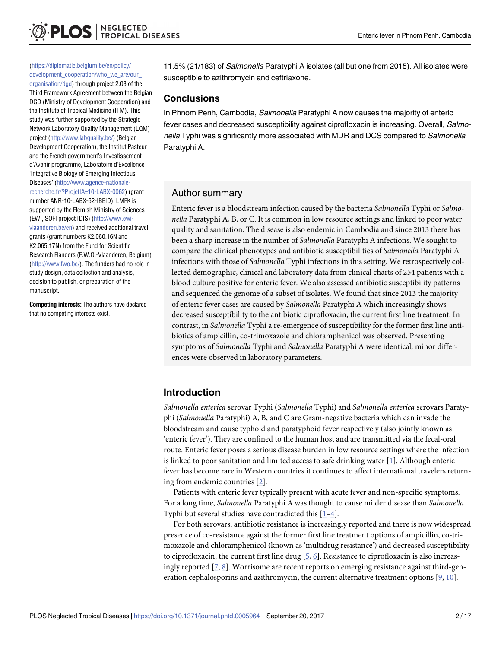<span id="page-1-0"></span>([https://diplomatie.belgium.be/en/policy/](https://diplomatie.belgium.be/en/policy/development_cooperation/who_we_are/our_organisation/dgd) [development\\_cooperation/who\\_we\\_are/our\\_](https://diplomatie.belgium.be/en/policy/development_cooperation/who_we_are/our_organisation/dgd)

[organisation/dgd\)](https://diplomatie.belgium.be/en/policy/development_cooperation/who_we_are/our_organisation/dgd) through project 2.08 of the Third Framework Agreement between the Belgian DGD (Ministry of Development Cooperation) and the Institute of Tropical Medicine (ITM). This study was further supported by the Strategic Network Laboratory Quality Management (LQM) project [\(http://www.labquality.be/](http://www.labquality.be/)) (Belgian Development Cooperation), the Institut Pasteur and the French government's Investissement d'Avenir programme, Laboratoire d'Excellence 'Integrative Biology of Emerging Infectious Diseases' [\(http://www.agence-nationale](http://www.agence-nationale-recherche.fr/?ProjetIA=10-LABX-0062)[recherche.fr/?ProjetIA=10-LABX-0062\)](http://www.agence-nationale-recherche.fr/?ProjetIA=10-LABX-0062) (grant number ANR-10-LABX-62-IBEID). LMFK is supported by the Flemish Ministry of Sciences (EWI, SOFI project IDIS) ([http://www.ewi](http://www.ewi-vlaanderen.be/en)[vlaanderen.be/en](http://www.ewi-vlaanderen.be/en)) and received additional travel grants (grant numbers K2.060.16N and K2.065.17N) from the Fund for Scientific Research Flanders (F.W.O.-Vlaanderen, Belgium) (<http://www.fwo.be/>). The funders had no role in study design, data collection and analysis, decision to publish, or preparation of the manuscript.

**Competing interests:** The authors have declared that no competing interests exist.

11.5% (21/183) of Salmonella Paratyphi A isolates (all but one from 2015). All isolates were susceptible to azithromycin and ceftriaxone.

#### **Conclusions**

In Phnom Penh, Cambodia, Salmonella Paratyphi A now causes the majority of enteric fever cases and decreased susceptibility against ciprofloxacin is increasing. Overall, Salmonella Typhi was significantly more associated with MDR and DCS compared to *Salmonella* Paratyphi A.

## Author summary

Enteric fever is a bloodstream infection caused by the bacteria *Salmonella* Typhi or *Salmonella* Paratyphi A, B, or C. It is common in low resource settings and linked to poor water quality and sanitation. The disease is also endemic in Cambodia and since 2013 there has been a sharp increase in the number of *Salmonella* Paratyphi A infections. We sought to compare the clinical phenotypes and antibiotic susceptibilities of *Salmonella* Paratyphi A infections with those of *Salmonella* Typhi infections in this setting. We retrospectively collected demographic, clinical and laboratory data from clinical charts of 254 patients with a blood culture positive for enteric fever. We also assessed antibiotic susceptibility patterns and sequenced the genome of a subset of isolates. We found that since 2013 the majority of enteric fever cases are caused by *Salmonella* Paratyphi A which increasingly shows decreased susceptibility to the antibiotic ciprofloxacin, the current first line treatment. In contrast, in *Salmonella* Typhi a re-emergence of susceptibility for the former first line antibiotics of ampicillin, co-trimoxazole and chloramphenicol was observed. Presenting symptoms of *Salmonella* Typhi and *Salmonella* Paratyphi A were identical, minor differences were observed in laboratory parameters.

## **Introduction**

*Salmonella enterica* serovar Typhi (*Salmonella* Typhi) and *Salmonella enterica* serovars Paratyphi (*Salmonella* Paratyphi) A, B, and C are Gram-negative bacteria which can invade the bloodstream and cause typhoid and paratyphoid fever respectively (also jointly known as 'enteric fever'). They are confined to the human host and are transmitted via the fecal-oral route. Enteric fever poses a serious disease burden in low resource settings where the infection is linked to poor sanitation and limited access to safe drinking water [[1\]](#page-13-0). Although enteric fever has become rare in Western countries it continues to affect international travelers returning from endemic countries [\[2](#page-13-0)].

Patients with enteric fever typically present with acute fever and non-specific symptoms. For a long time, *Salmonella* Paratyphi A was thought to cause milder disease than *Salmonella* Typhi but several studies have contradicted this  $[1-4]$ .

For both serovars, antibiotic resistance is increasingly reported and there is now widespread presence of co-resistance against the former first line treatment options of ampicillin, co-trimoxazole and chloramphenicol (known as 'multidrug resistance') and decreased susceptibility to ciprofloxacin, the current first line drug  $[5, 6]$  $[5, 6]$  $[5, 6]$  $[5, 6]$  $[5, 6]$ . Resistance to ciprofloxacin is also increasingly reported [\[7,](#page-13-0) [8\]](#page-13-0). Worrisome are recent reports on emerging resistance against third-generation cephalosporins and azithromycin, the current alternative treatment options [[9,](#page-13-0) [10\]](#page-14-0).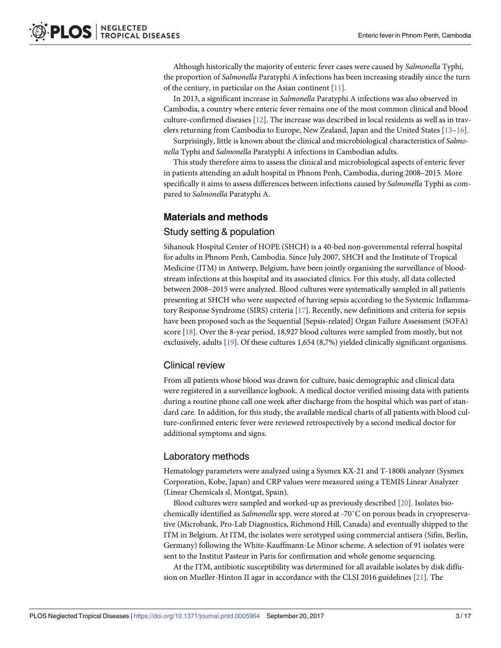<span id="page-2-0"></span>Although historically the majority of enteric fever cases were caused by *Salmonella* Typhi, the proportion of *Salmonella* Paratyphi A infections has been increasing steadily since the turn of the century, in particular on the Asian continent [\[11\]](#page-14-0).

In 2013, a significant increase in *Salmonella* Paratyphi A infections was also observed in Cambodia, a country where enteric fever remains one of the most common clinical and blood culture-confirmed diseases [[12](#page-14-0)]. The increase was described in local residents as well as in travelers returning from Cambodia to Europe, New Zealand, Japan and the United States [\[13–16\]](#page-14-0).

Surprisingly, little is known about the clinical and microbiological characteristics of *Salmonella* Typhi and *Salmonella* Paratyphi A infections in Cambodian adults.

This study therefore aims to assess the clinical and microbiological aspects of enteric fever in patients attending an adult hospital in Phnom Penh, Cambodia, during 2008–2015. More specifically it aims to assess differences between infections caused by *Salmonella* Typhi as compared to *Salmonella* Paratyphi A.

#### **Materials and methods**

#### Study setting & population

Sihanouk Hospital Center of HOPE (SHCH) is a 40-bed non-governmental referral hospital for adults in Phnom Penh, Cambodia. Since July 2007, SHCH and the Institute of Tropical Medicine (ITM) in Antwerp, Belgium, have been jointly organising the surveillance of bloodstream infections at this hospital and its associated clinics. For this study, all data collected between 2008–2015 were analyzed. Blood cultures were systematically sampled in all patients presenting at SHCH who were suspected of having sepsis according to the Systemic Inflammatory Response Syndrome (SIRS) criteria [\[17\]](#page-14-0). Recently, new definitions and criteria for sepsis have been proposed such as the Sequential [Sepsis-related] Organ Failure Assessment (SOFA) score [\[18\]](#page-14-0). Over the 8-year period, 18,927 blood cultures were sampled from mostly, but not exclusively, adults [[19](#page-14-0)]. Of these cultures 1,654 (8,7%) yielded clinically significant organisms.

#### Clinical review

From all patients whose blood was drawn for culture, basic demographic and clinical data were registered in a surveillance logbook. A medical doctor verified missing data with patients during a routine phone call one week after discharge from the hospital which was part of standard care. In addition, for this study, the available medical charts of all patients with blood culture-confirmed enteric fever were reviewed retrospectively by a second medical doctor for additional symptoms and signs.

#### Laboratory methods

Hematology parameters were analyzed using a Sysmex KX-21 and T-1800i analyzer (Sysmex Corporation, Kobe, Japan) and CRP values were measured using a TEMIS Linear Analyzer (Linear Chemicals sl, Montgat, Spain).

Blood cultures were sampled and worked-up as previously described [[20](#page-14-0)]. Isolates biochemically identified as *Salmonella* spp. were stored at -70˚C on porous beads in cryopreservative (Microbank, Pro-Lab Diagnostics, Richmond Hill, Canada) and eventually shipped to the ITM in Belgium. At ITM, the isolates were serotyped using commercial antisera (Sifin, Berlin, Germany) following the White-Kauffmann-Le Minor scheme. A selection of 91 isolates were sent to the Institut Pasteur in Paris for confirmation and whole genome sequencing.

At the ITM, antibiotic susceptibility was determined for all available isolates by disk diffusion on Mueller-Hinton II agar in accordance with the CLSI 2016 guidelines [[21](#page-14-0)]. The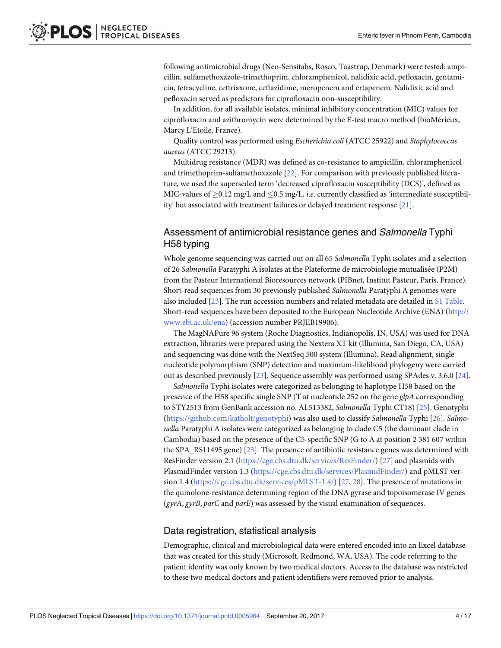<span id="page-3-0"></span>following antimicrobial drugs (Neo-Sensitabs, Rosco, Taastrup, Denmark) were tested: ampicillin, sulfamethoxazole-trimethoprim, chloramphenicol, nalidixic acid, pefloxacin, gentamicin, tetracycline, ceftriaxone, ceftazidime, meropenem and ertapenem. Nalidixic acid and pefloxacin served as predictors for ciprofloxacin non-susceptibility.

In addition, for all available isolates, minimal inhibitory concentration (MIC) values for ciprofloxacin and azithromycin were determined by the E-test macro method (bioMérieux, Marcy L'Etoile, France).

Quality control was performed using *Escherichia coli* (ATCC 25922) and *Staphylococcus aureus* (ATCC 29213).

Multidrug resistance (MDR) was defined as co-resistance to ampicillin, chloramphenicol and trimethoprim-sulfamethoxazole [[22](#page-14-0)]. For comparison with previously published literature, we used the superseded term 'decreased ciprofloxacin susceptibility (DCS)', defined as MIC-values of  $> 0.12$  mg/L and  $< 0.5$  mg/L, *i.e.* currently classified as 'intermediate susceptibility' but associated with treatment failures or delayed treatment response [\[21\]](#page-14-0).

## Assessment of antimicrobial resistance genes and Salmonella Typhi H58 typing

Whole genome sequencing was carried out on all 65 *Salmonella* Typhi isolates and a selection of 26 *Salmonella* Paratyphi A isolates at the Plateforme de microbiologie mutualise´e (P2M) from the Pasteur International Bioresources network (PIBnet, Institut Pasteur, Paris, France). Short-read sequences from 30 previously published *Salmonella* Paratyphi A genomes were also included [\[23\]](#page-14-0). The run accession numbers and related metadata are detailed in S1 [Table.](#page-12-0) Short-read sequences have been deposited to the European Nucleotide Archive (ENA) [\(http://](http://www.ebi.ac.uk/ena) [www.ebi.ac.uk/ena](http://www.ebi.ac.uk/ena)) (accession number PRJEB19906).

The MagNAPure 96 system (Roche Diagnostics, Indianopolis, IN, USA) was used for DNA extraction, libraries were prepared using the Nextera XT kit (Illumina, San Diego, CA, USA) and sequencing was done with the NextSeq 500 system (Illumina). Read alignment, single nucleotide polymorphism (SNP) detection and maximum-likelihood phylogeny were carried out as described previously [\[23\]](#page-14-0). Sequence assembly was performed using SPAdes v. 3.6.0 [[24](#page-14-0)].

*Salmonella* Typhi isolates were categorized as belonging to haplotype H58 based on the presence of the H58 specific single SNP (T at nucleotide 252 on the gene *glpA* corresponding to STY2513 from GenBank accession no. AL513382, *Salmonella* Typhi CT18) [[25](#page-14-0)]. Genotyphi [\(https://github.com/katholt/genotyphi\)](https://github.com/katholt/genotyphi) was also used to classify *Salmonella* Typhi [[26](#page-14-0)]. *Salmonella* Paratyphi A isolates were categorized as belonging to clade C5 (the dominant clade in Cambodia) based on the presence of the C5-specific SNP (G to A at position 2 381 607 within the SPA\_RS11495 gene) [\[23\]](#page-14-0). The presence of antibiotic resistance genes was determined with ResFinder version 2.1 ([https://cge.cbs.dtu.dk/services/ResFinder/\)](https://cge.cbs.dtu.dk/services/ResFinder/) [[27](#page-14-0)] and plasmids with PlasmidFinder version 1.3 ([https://cge.cbs.dtu.dk/services/PlasmidFinder/\)](https://cge.cbs.dtu.dk/services/PlasmidFinder/) and pMLST version 1.4 [\(https://cge.cbs.dtu.dk/services/pMLST-1.4/](https://cge.cbs.dtu.dk/services/pMLST-1.4/)) [\[27,](#page-14-0) [28\]](#page-14-0). The presence of mutations in the quinolone-resistance determining region of the DNA gyrase and topoisomerase IV genes (*gyrA*, *gyrB*, *parC* and *parE*) was assessed by the visual examination of sequences.

#### Data registration, statistical analysis

Demographic, clinical and microbiological data were entered encoded into an Excel database that was created for this study (Microsoft, Redmond, WA, USA). The code referring to the patient identity was only known by two medical doctors. Access to the database was restricted to these two medical doctors and patient identifiers were removed prior to analysis.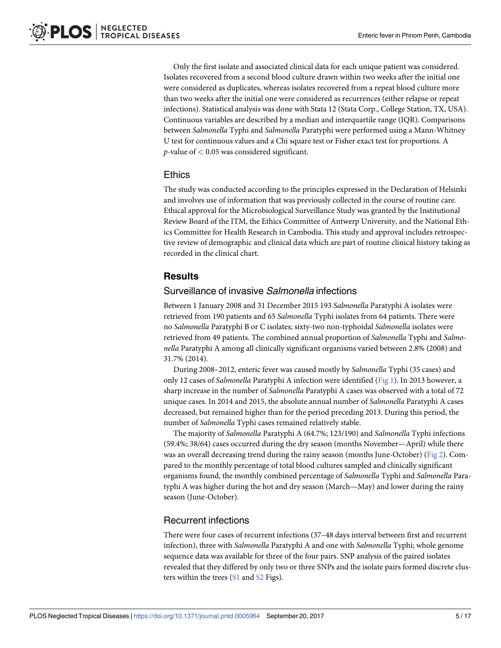<span id="page-4-0"></span>Only the first isolate and associated clinical data for each unique patient was considered. Isolates recovered from a second blood culture drawn within two weeks after the initial one were considered as duplicates, whereas isolates recovered from a repeat blood culture more than two weeks after the initial one were considered as recurrences (either relapse or repeat infections). Statistical analysis was done with Stata 12 (Stata Corp., College Station, TX, USA). Continuous variables are described by a median and interquartile range (IQR). Comparisons between *Salmonella* Typhi and *Salmonella* Paratyphi were performed using a Mann-Whitney U test for continuous values and a Chi square test or Fisher exact test for proportions. A *p*-value of *<* 0.05 was considered significant.

#### **Ethics**

The study was conducted according to the principles expressed in the Declaration of Helsinki and involves use of information that was previously collected in the course of routine care. Ethical approval for the Microbiological Surveillance Study was granted by the Institutional Review Board of the ITM, the Ethics Committee of Antwerp University, and the National Ethics Committee for Health Research in Cambodia. This study and approval includes retrospective review of demographic and clinical data which are part of routine clinical history taking as recorded in the clinical chart.

## **Results**

#### Surveillance of invasive Salmonella infections

Between 1 January 2008 and 31 December 2015 193 *Salmonella* Paratyphi A isolates were retrieved from 190 patients and 65 *Salmonella* Typhi isolates from 64 patients. There were no *Salmonella* Paratyphi B or C isolates; sixty-two non-typhoidal *Salmonella* isolates were retrieved from 49 patients. The combined annual proportion of *Salmonella* Typhi and *Salmonella* Paratyphi A among all clinically significant organisms varied between 2.8% (2008) and 31.7% (2014).

During 2008–2012, enteric fever was caused mostly by *Salmonella* Typhi (35 cases) and only 12 cases of *Salmonella* Paratyphi A infection were identified [\(Fig](#page-5-0) 1). In 2013 however, a sharp increase in the number of *Salmonella* Paratyphi A cases was observed with a total of 72 unique cases. In 2014 and 2015, the absolute annual number of *Salmonella* Paratyphi A cases decreased, but remained higher than for the period preceding 2013. During this period, the number of *Salmonella* Typhi cases remained relatively stable.

The majority of *Salmonella* Paratyphi A (64.7%; 123/190) and *Salmonella* Typhi infections (59.4%; 38/64) cases occurred during the dry season (months November—April) while there was an overall decreasing trend during the rainy season (months June-October) ([Fig](#page-5-0) 2). Compared to the monthly percentage of total blood cultures sampled and clinically significant organisms found, the monthly combined percentage of *Salmonella* Typhi and *Salmonella* Paratyphi A was higher during the hot and dry season (March—May) and lower during the rainy season (June-October).

## Recurrent infections

There were four cases of recurrent infections (37–48 days interval between first and recurrent infection), three with *Salmonella* Paratyphi A and one with *Salmonella* Typhi; whole genome sequence data was available for three of the four pairs. SNP analysis of the paired isolates revealed that they differed by only two or three SNPs and the isolate pairs formed discrete clusters within the trees [\(S1](#page-12-0) and [S2](#page-12-0) Figs).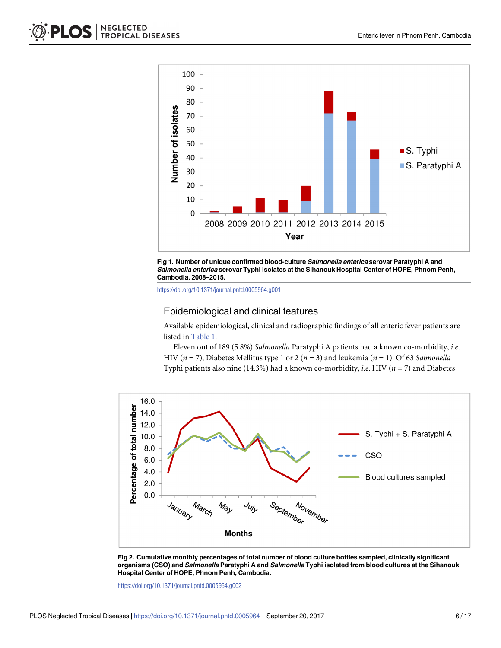<span id="page-5-0"></span>



<https://doi.org/10.1371/journal.pntd.0005964.g001>

#### Epidemiological and clinical features

Available epidemiological, clinical and radiographic findings of all enteric fever patients are listed in [Table](#page-6-0) 1.

Eleven out of 189 (5.8%) *Salmonella* Paratyphi A patients had a known co-morbidity, *i*.*e*. HIV (*n* = 7), Diabetes Mellitus type 1 or 2 (*n* = 3) and leukemia (*n* = 1). Of 63 *Salmonella* Typhi patients also nine (14.3%) had a known co-morbidity, *i*.*e*. HIV (*n* = 7) and Diabetes





<https://doi.org/10.1371/journal.pntd.0005964.g002>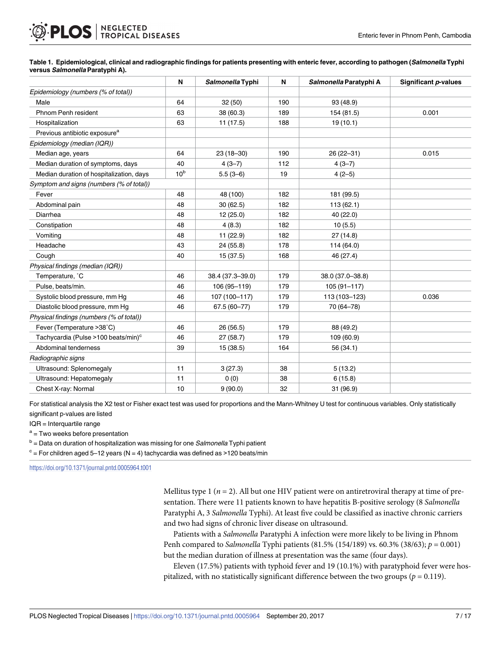## <span id="page-6-0"></span>**NEGLECTED<br>TROPICAL DISEASES** PLOS

#### [Table](#page-5-0) 1. Epidemiological, clinical and radiographic findings for patients presenting with enteric fever, according to pathogen (Salmonella Typhi **versus Salmonella Paratyphi A).**

|                                                 | N               | Salmonella Typhi | N   | Salmonella Paratyphi A | Significant <i>p</i> -values |
|-------------------------------------------------|-----------------|------------------|-----|------------------------|------------------------------|
| Epidemiology (numbers (% of total))             |                 |                  |     |                        |                              |
| Male                                            | 64              | 32(50)           | 190 | 93 (48.9)              |                              |
| Phnom Penh resident                             | 63              | 38 (60.3)        | 189 | 154 (81.5)             | 0.001                        |
| Hospitalization                                 | 63              | 11(17.5)         | 188 | 19(10.1)               |                              |
| Previous antibiotic exposure <sup>a</sup>       |                 |                  |     |                        |                              |
| Epidemiology (median (IQR))                     |                 |                  |     |                        |                              |
| Median age, years                               | 64              | $23(18-30)$      | 190 | 26 (22-31)             | 0.015                        |
| Median duration of symptoms, days               | 40              | $4(3-7)$         | 112 | $4(3-7)$               |                              |
| Median duration of hospitalization, days        | 10 <sup>b</sup> | $5.5(3-6)$       | 19  | $4(2-5)$               |                              |
| Symptom and signs (numbers (% of total))        |                 |                  |     |                        |                              |
| Fever                                           | 48              | 48 (100)         | 182 | 181 (99.5)             |                              |
| Abdominal pain                                  | 48              | 30(62.5)         | 182 | 113(62.1)              |                              |
| Diarrhea                                        | 48              | 12(25.0)         | 182 | 40 (22.0)              |                              |
| Constipation                                    | 48              | 4(8.3)           | 182 | 10(5.5)                |                              |
| Vomiting                                        | 48              | 11(22.9)         | 182 | 27(14.8)               |                              |
| Headache                                        | 43              | 24 (55.8)        | 178 | 114 (64.0)             |                              |
| Cough                                           | 40              | 15(37.5)         | 168 | 46 (27.4)              |                              |
| Physical findings (median (IQR))                |                 |                  |     |                        |                              |
| Temperature, °C                                 | 46              | 38.4 (37.3-39.0) | 179 | 38.0 (37.0-38.8)       |                              |
| Pulse, beats/min.                               | 46              | 106 (95-119)     | 179 | $105(91 - 117)$        |                              |
| Systolic blood pressure, mm Hq                  | 46              | 107 (100-117)    | 179 | 113 (103-123)          | 0.036                        |
| Diastolic blood pressure, mm Hg                 | 46              | $67.5(60 - 77)$  | 179 | 70 (64-78)             |                              |
| Physical findings (numbers (% of total))        |                 |                  |     |                        |                              |
| Fever (Temperature >38°C)                       | 46              | 26 (56.5)        | 179 | 88 (49.2)              |                              |
| Tachycardia (Pulse >100 beats/min) <sup>c</sup> | 46              | 27(58.7)         | 179 | 109 (60.9)             |                              |
| Abdominal tenderness                            | 39              | 15 (38.5)        | 164 | 56 (34.1)              |                              |
| Radiographic signs                              |                 |                  |     |                        |                              |
| Ultrasound: Splenomegaly                        | 11              | 3(27.3)          | 38  | 5(13.2)                |                              |
| Ultrasound: Hepatomegaly                        | 11              | 0(0)             | 38  | 6(15.8)                |                              |
| Chest X-ray: Normal                             | 10              | 9(90.0)          | 32  | 31 (96.9)              |                              |

For statistical analysis the X2 test or Fisher exact test was used for proportions and the Mann-Whitney U test for continuous variables. Only statistically significant p-values are listed

IQR = Interquartile range

 $a = Two$  weeks before presentation

 $b =$  Data on duration of hospitalization was missing for one *Salmonella* Typhi patient

 $c =$  For children aged 5–12 years (N = 4) tachycardia was defined as >120 beats/min

<https://doi.org/10.1371/journal.pntd.0005964.t001>

Mellitus type  $1$  ( $n = 2$ ). All but one HIV patient were on antiretroviral therapy at time of presentation. There were 11 patients known to have hepatitis B-positive serology (8 *Salmonella* Paratyphi A, 3 *Salmonella* Typhi). At least five could be classified as inactive chronic carriers and two had signs of chronic liver disease on ultrasound.

Patients with a *Salmonella* Paratyphi A infection were more likely to be living in Phnom Penh compared to *Salmonella* Typhi patients (81.5% (154/189) vs. 60.3% (38/63); *p* = 0.001) but the median duration of illness at presentation was the same (four days).

Eleven (17.5%) patients with typhoid fever and 19 (10.1%) with paratyphoid fever were hospitalized, with no statistically significant difference between the two groups ( $p = 0.119$ ).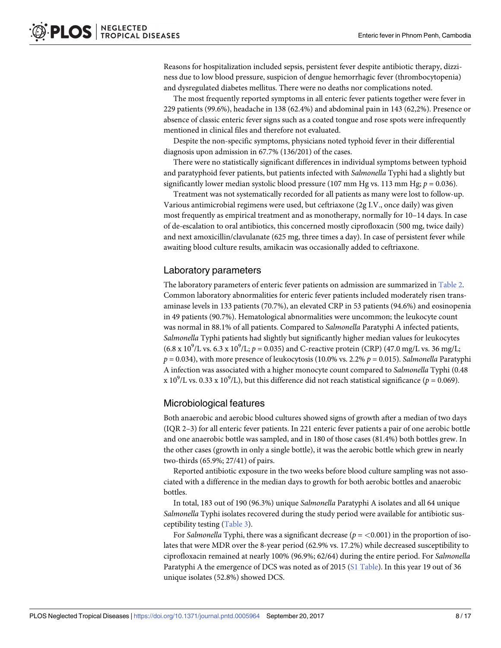<span id="page-7-0"></span>Reasons for hospitalization included sepsis, persistent fever despite antibiotic therapy, dizziness due to low blood pressure, suspicion of dengue hemorrhagic fever (thrombocytopenia) and dysregulated diabetes mellitus. There were no deaths nor complications noted.

The most frequently reported symptoms in all enteric fever patients together were fever in 229 patients (99.6%), headache in 138 (62.4%) and abdominal pain in 143 (62,2%). Presence or absence of classic enteric fever signs such as a coated tongue and rose spots were infrequently mentioned in clinical files and therefore not evaluated.

Despite the non-specific symptoms, physicians noted typhoid fever in their differential diagnosis upon admission in 67.7% (136/201) of the cases.

There were no statistically significant differences in individual symptoms between typhoid and paratyphoid fever patients, but patients infected with *Salmonella* Typhi had a slightly but significantly lower median systolic blood pressure (107 mm Hg vs. 113 mm Hg;  $p = 0.036$ ).

Treatment was not systematically recorded for all patients as many were lost to follow-up. Various antimicrobial regimens were used, but ceftriaxone (2g I.V., once daily) was given most frequently as empirical treatment and as monotherapy, normally for 10–14 days. In case of de-escalation to oral antibiotics, this concerned mostly ciprofloxacin (500 mg, twice daily) and next amoxicillin/clavulanate (625 mg, three times a day). In case of persistent fever while awaiting blood culture results, amikacin was occasionally added to ceftriaxone.

#### Laboratory parameters

The laboratory parameters of enteric fever patients on admission are summarized in [Table](#page-8-0) 2. Common laboratory abnormalities for enteric fever patients included moderately risen transaminase levels in 133 patients (70.7%), an elevated CRP in 53 patients (94.6%) and eosinopenia in 49 patients (90.7%). Hematological abnormalities were uncommon; the leukocyte count was normal in 88.1% of all patients. Compared to *Salmonella* Paratyphi A infected patients, *Salmonella* Typhi patients had slightly but significantly higher median values for leukocytes  $(6.8 \times 10^9$ /L vs.  $6.3 \times 10^9$ /L;  $p = 0.035$ ) and C-reactive protein (CRP) (47.0 mg/L vs. 36 mg/L;  $p = 0.034$ ), with more presence of leukocytosis (10.0% vs. 2.2%  $p = 0.015$ ). *Salmonella* Paratyphi A infection was associated with a higher monocyte count compared to *Salmonella* Typhi (0.48 x 10<sup>9</sup>/L vs. 0.33 x 10<sup>9</sup>/L), but this difference did not reach statistical significance ( $p = 0.069$ ).

#### Microbiological features

Both anaerobic and aerobic blood cultures showed signs of growth after a median of two days (IQR 2–3) for all enteric fever patients. In 221 enteric fever patients a pair of one aerobic bottle and one anaerobic bottle was sampled, and in 180 of those cases (81.4%) both bottles grew. In the other cases (growth in only a single bottle), it was the aerobic bottle which grew in nearly two-thirds (65.9%; 27/41) of pairs.

Reported antibiotic exposure in the two weeks before blood culture sampling was not associated with a difference in the median days to growth for both aerobic bottles and anaerobic bottles.

In total, 183 out of 190 (96.3%) unique *Salmonella* Paratyphi A isolates and all 64 unique *Salmonella* Typhi isolates recovered during the study period were available for antibiotic susceptibility testing [\(Table](#page-9-0) 3).

For *Salmonella* Typhi, there was a significant decrease ( $p = < 0.001$ ) in the proportion of isolates that were MDR over the 8-year period (62.9% vs. 17.2%) while decreased susceptibility to ciprofloxacin remained at nearly 100% (96.9%; 62/64) during the entire period. For *Salmonella* Paratyphi A the emergence of DCS was noted as of 2015 (S1 [Table](#page-12-0)). In this year 19 out of 36 unique isolates (52.8%) showed DCS.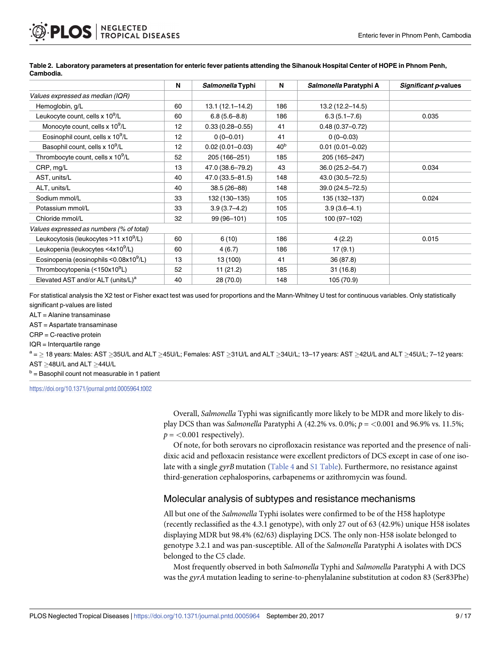|                                                    | N  | Salmonella Typhi    | N               | Salmonella Paratyphi A | Significant p-values |
|----------------------------------------------------|----|---------------------|-----------------|------------------------|----------------------|
| Values expressed as median (IQR)                   |    |                     |                 |                        |                      |
| Hemoglobin, g/L                                    | 60 | $13.1(12.1 - 14.2)$ | 186             | $13.2(12.2 - 14.5)$    |                      |
| Leukocyte count, cells x 10 <sup>9</sup> /L        | 60 | $6.8(5.6 - 8.8)$    | 186             | $6.3(5.1 - 7.6)$       | 0.035                |
| Monocyte count, cells x 10 <sup>9</sup> /L         | 12 | $0.33(0.28 - 0.55)$ | 41              | $0.48(0.37 - 0.72)$    |                      |
| Eosinophil count, cells x 10 <sup>9</sup> /L       | 12 | $0(0-0.01)$         | 41              | $0(0-0.03)$            |                      |
| Basophil count, cells x 10 <sup>9</sup> /L         | 12 | $0.02(0.01 - 0.03)$ | 40 <sup>b</sup> | $0.01(0.01 - 0.02)$    |                      |
| Thrombocyte count, cells x 10 <sup>9</sup> /L      | 52 | 205 (166-251)       | 185             | 205 (165-247)          |                      |
| CRP, mg/L                                          | 13 | 47.0 (38.6-79.2)    | 43              | 36.0 (25.2-54.7)       | 0.034                |
| AST, units/L                                       | 40 | 47.0 (33.5-81.5)    | 148             | 43.0 (30.5-72.5)       |                      |
| ALT, units/L                                       | 40 | $38.5(26 - 88)$     | 148             | 39.0 (24.5-72.5)       |                      |
| Sodium mmol/L                                      | 33 | 132 (130-135)       | 105             | 135 (132-137)          | 0.024                |
| Potassium mmol/L                                   | 33 | $3.9(3.7 - 4.2)$    | 105             | $3.9(3.6 - 4.1)$       |                      |
| Chloride mmol/L                                    | 32 | 99 (96-101)         | 105             | 100 (97-102)           |                      |
| Values expressed as numbers (% of total)           |    |                     |                 |                        |                      |
| Leukocytosis (leukocytes >11 x10 <sup>9</sup> /L)  | 60 | 6(10)               | 186             | 4(2.2)                 | 0.015                |
| Leukopenia (leukocytes <4x10 <sup>9</sup> /L)      | 60 | 4(6.7)              | 186             | 17(9.1)                |                      |
| Eosinopenia (eosinophils <0.08x10 <sup>9</sup> /L) | 13 | 13 (100)            | 41              | 36 (87.8)              |                      |
| Thrombocytopenia (<150x10 <sup>9</sup> L)          | 52 | 11(21.2)            | 185             | 31(16.8)               |                      |
| Elevated AST and/or ALT (units/L) <sup>a</sup>     | 40 | 28 (70.0)           | 148             | 105 (70.9)             |                      |

<span id="page-8-0"></span>[Table](#page-7-0) 2. Laboratory parameters at presentation for enteric fever patients attending the Sihanouk Hospital Center of HOPE in Phnom Penh, **Cambodia.**

For statistical analysis the X2 test or Fisher exact test was used for proportions and the Mann-Whitney U test for continuous variables. Only statistically significant p-values are listed

ALT = Alanine transaminase

AST = Aspartate transaminase

CRP = C-reactive protein

IQR = Interquartile range

 $a =$  > 18 years: Males: AST >35U/L and ALT >45U/L; Females: AST >31U/L and ALT >34U/L; 13–17 years: AST >42U/L and ALT >45U/L; 7–12 years:  $AST \geq 48U/L$  and  $ALT \geq 44U/L$ 

 $<sup>b</sup>$  = Basophil count not measurable in 1 patient</sup>

<https://doi.org/10.1371/journal.pntd.0005964.t002>

Overall, *Salmonella* Typhi was significantly more likely to be MDR and more likely to display DCS than was *Salmonella* Paratyphi A (42.2% vs. 0.0%; *p* = *<*0.001 and 96.9% vs. 11.5%;  $p = < 0.001$  respectively).

Of note, for both serovars no ciprofloxacin resistance was reported and the presence of nalidixic acid and pefloxacin resistance were excellent predictors of DCS except in case of one isolate with a single *gyrB* mutation ([Table](#page-9-0) 4 and S1 [Table](#page-12-0)). Furthermore, no resistance against third-generation cephalosporins, carbapenems or azithromycin was found.

#### Molecular analysis of subtypes and resistance mechanisms

All but one of the *Salmonella* Typhi isolates were confirmed to be of the H58 haplotype (recently reclassified as the 4.3.1 genotype), with only 27 out of 63 (42.9%) unique H58 isolates displaying MDR but 98.4% (62/63) displaying DCS. The only non-H58 isolate belonged to genotype 3.2.1 and was pan-susceptible. All of the *Salmonella* Paratyphi A isolates with DCS belonged to the C5 clade.

Most frequently observed in both *Salmonella* Typhi and *Salmonella* Paratyphi A with DCS was the *gyrA* mutation leading to serine-to-phenylalanine substitution at codon 83 (Ser83Phe)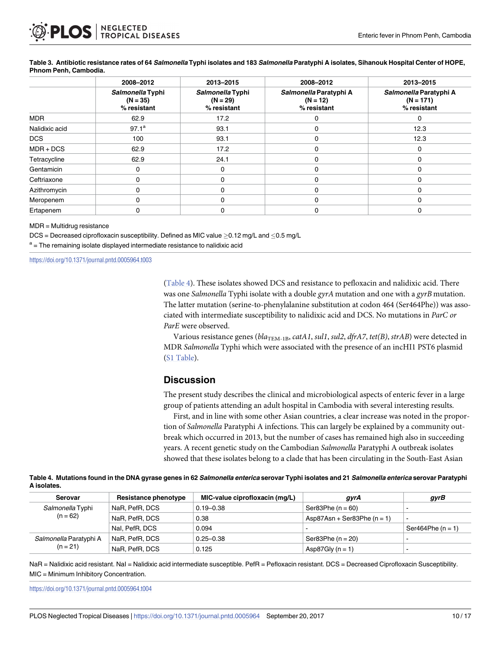|                | 2008-2012                                     | 2013-2015                                     | 2008-2012                                           | 2013-2015                                            |
|----------------|-----------------------------------------------|-----------------------------------------------|-----------------------------------------------------|------------------------------------------------------|
|                | Salmonella Typhi<br>$(N = 35)$<br>% resistant | Salmonella Typhi<br>$(N = 29)$<br>% resistant | Salmonella Paratyphi A<br>$(N = 12)$<br>% resistant | Salmonella Paratyphi A<br>$(N = 171)$<br>% resistant |
| <b>MDR</b>     | 62.9                                          | 17.2                                          | 0                                                   | $\Omega$                                             |
| Nalidixic acid | $97.1^{\circ}$                                | 93.1                                          | 0                                                   | 12.3                                                 |
| <b>DCS</b>     | 100                                           | 93.1                                          | 0                                                   | 12.3                                                 |
| $MDR + DCS$    | 62.9                                          | 17.2                                          | $\Omega$                                            | 0                                                    |
| Tetracycline   | 62.9                                          | 24.1                                          | 0                                                   | 0                                                    |
| Gentamicin     | 0                                             | $\Omega$                                      | 0                                                   | 0                                                    |
| Ceftriaxone    | 0                                             | 0                                             | 0                                                   |                                                      |
| Azithromycin   | $\Omega$                                      | $\Omega$                                      |                                                     |                                                      |
| Meropenem      | 0                                             | $\Omega$                                      | 0                                                   | 0                                                    |
| Ertapenem      | 0                                             | 0                                             | 0                                                   | 0                                                    |

#### <span id="page-9-0"></span>[Table](#page-7-0) 3. Antibiotic resistance rates of 64 Salmonella Typhi isolates and 183 Salmonella Paratyphi A isolates, Sihanouk Hospital Center of HOPE, **Phnom Penh, Cambodia.**

MDR = Multidrug resistance

 $DCS = Decreased$  ciprofloxacin susceptibility. Defined as MIC value  $>0.12$  mg/L and  $< 0.5$  mg/L

 $a$  = The remaining isolate displayed intermediate resistance to nalidixic acid

<https://doi.org/10.1371/journal.pntd.0005964.t003>

(Table 4). These isolates showed DCS and resistance to pefloxacin and nalidixic acid. There was one *Salmonella* Typhi isolate with a double *gyrA* mutation and one with a *gyrB* mutation. The latter mutation (serine-to-phenylalanine substitution at codon 464 (Ser464Phe)) was associated with intermediate susceptibility to nalidixic acid and DCS. No mutations in *ParC or ParE* were observed.

Various resistance genes (*bla*TEM-1B, *catA1*, *sul1*, *sul2*, *dfrA7*, *tet(B)*, *strAB*) were detected in MDR *Salmonella* Typhi which were associated with the presence of an incHI1 PST6 plasmid (S1 [Table](#page-12-0)).

#### **Discussion**

The present study describes the clinical and microbiological aspects of enteric fever in a large group of patients attending an adult hospital in Cambodia with several interesting results.

First, and in line with some other Asian countries, a clear increase was noted in the proportion of *Salmonella* Paratyphi A infections. This can largely be explained by a community outbreak which occurred in 2013, but the number of cases has remained high also in succeeding years. A recent genetic study on the Cambodian *Salmonella* Paratyphi A outbreak isolates showed that these isolates belong to a clade that has been circulating in the South-East Asian

|             | Table 4. Mutations found in the DNA gyrase genes in 62 <i>Salmonella enterica</i> serovar Typhi isolates and 21 <i>Salmonella enterica</i> serovar Paratyphi |  |  |
|-------------|--------------------------------------------------------------------------------------------------------------------------------------------------------------|--|--|
| A isolates. |                                                                                                                                                              |  |  |

| Serovar                | Resistance phenotype | MIC-value ciprofloxacin (mg/L) | gyrA                          | gyrB                |
|------------------------|----------------------|--------------------------------|-------------------------------|---------------------|
| Salmonella Typhi       | NaR, PefR, DCS       | $0.19 - 0.38$                  | Ser83Phe $(n = 60)$           |                     |
| $(n = 62)$             | NaR. PefR. DCS       | 0.38                           | $Asp87Asn + Ser83Phe (n = 1)$ | -                   |
|                        | Nal. PefR. DCS       | 0.094                          |                               | Ser464Phe $(n = 1)$ |
| Salmonella Paratyphi A | NaR. PefR. DCS       | $0.25 - 0.38$                  | Ser83Phe $(n = 20)$           | -                   |
| $(n = 21)$             | NaR. PefR. DCS       | 0.125                          | Asp87Gly $(n = 1)$            | -                   |

NaR = Nalidixic acid resistant. NaI = Nalidixic acid intermediate susceptible. PefR = Pefloxacin resistant. DCS = Decreased Ciprofloxacin Susceptibility. MIC = Minimum Inhibitory Concentration.

<https://doi.org/10.1371/journal.pntd.0005964.t004>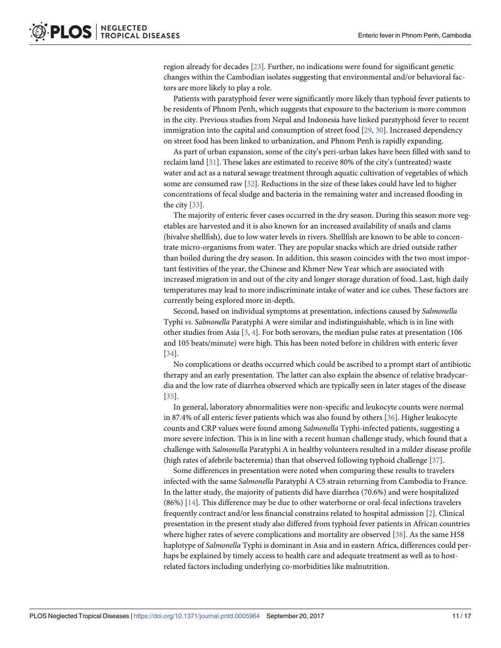<span id="page-10-0"></span>region already for decades [[23](#page-14-0)]. Further, no indications were found for significant genetic changes within the Cambodian isolates suggesting that environmental and/or behavioral factors are more likely to play a role.

Patients with paratyphoid fever were significantly more likely than typhoid fever patients to be residents of Phnom Penh, which suggests that exposure to the bacterium is more common in the city. Previous studies from Nepal and Indonesia have linked paratyphoid fever to recent immigration into the capital and consumption of street food [\[29,](#page-15-0) [30\]](#page-15-0). Increased dependency on street food has been linked to urbanization, and Phnom Penh is rapidly expanding.

As part of urban expansion, some of the city's peri-urban lakes have been filled with sand to reclaim land [\[31\]](#page-15-0). These lakes are estimated to receive 80% of the city's (untreated) waste water and act as a natural sewage treatment through aquatic cultivation of vegetables of which some are consumed raw [[32](#page-15-0)]. Reductions in the size of these lakes could have led to higher concentrations of fecal sludge and bacteria in the remaining water and increased flooding in the city [[33](#page-15-0)].

The majority of enteric fever cases occurred in the dry season. During this season more vegetables are harvested and it is also known for an increased availability of snails and clams (bivalve shellfish), due to low water levels in rivers. Shellfish are known to be able to concentrate micro-organisms from water. They are popular snacks which are dried outside rather than boiled during the dry season. In addition, this season coincides with the two most important festivities of the year, the Chinese and Khmer New Year which are associated with increased migration in and out of the city and longer storage duration of food. Last, high daily temperatures may lead to more indiscriminate intake of water and ice cubes. These factors are currently being explored more in-depth.

Second, based on individual symptoms at presentation, infections caused by *Salmonella* Typhi *vs*. *Salmonella* Paratyphi A were similar and indistinguishable, which is in line with other studies from Asia [\[3](#page-13-0), [4](#page-13-0)]. For both serovars, the median pulse rates at presentation (106 and 105 beats/minute) were high. This has been noted before in children with enteric fever [\[34\]](#page-15-0).

No complications or deaths occurred which could be ascribed to a prompt start of antibiotic therapy and an early presentation. The latter can also explain the absence of relative bradycardia and the low rate of diarrhea observed which are typically seen in later stages of the disease [\[35\]](#page-15-0).

In general, laboratory abnormalities were non-specific and leukocyte counts were normal in 87.4% of all enteric fever patients which was also found by others [\[36\]](#page-15-0). Higher leukocyte counts and CRP values were found among *Salmonella* Typhi-infected patients, suggesting a more severe infection. This is in line with a recent human challenge study, which found that a challenge with *Salmonella* Paratyphi A in healthy volunteers resulted in a milder disease profile (high rates of afebrile bacteremia) than that observed following typhoid challenge [\[37\]](#page-15-0).

Some differences in presentation were noted when comparing these results to travelers infected with the same *Salmonella* Paratyphi A C5 strain returning from Cambodia to France. In the latter study, the majority of patients did have diarrhea (70.6%) and were hospitalized (86%) [\[14\]](#page-14-0). This difference may be due to other waterborne or oral-fecal infections travelers frequently contract and/or less financial constrains related to hospital admission [\[2\]](#page-13-0). Clinical presentation in the present study also differed from typhoid fever patients in African countries where higher rates of severe complications and mortality are observed [\[38\]](#page-15-0). As the same H58 haplotype of *Salmonella* Typhi is dominant in Asia and in eastern Africa, differences could perhaps be explained by timely access to health care and adequate treatment as well as to hostrelated factors including underlying co-morbidities like malnutrition.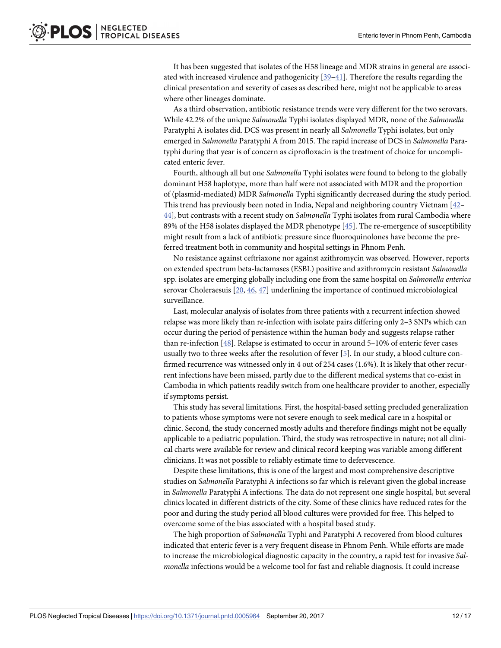<span id="page-11-0"></span>It has been suggested that isolates of the H58 lineage and MDR strains in general are associated with increased virulence and pathogenicity [\[39–41\]](#page-15-0). Therefore the results regarding the clinical presentation and severity of cases as described here, might not be applicable to areas where other lineages dominate.

As a third observation, antibiotic resistance trends were very different for the two serovars. While 42.2% of the unique *Salmonella* Typhi isolates displayed MDR, none of the *Salmonella* Paratyphi A isolates did. DCS was present in nearly all *Salmonella* Typhi isolates, but only emerged in *Salmonella* Paratyphi A from 2015. The rapid increase of DCS in *Salmonella* Paratyphi during that year is of concern as ciprofloxacin is the treatment of choice for uncomplicated enteric fever.

Fourth, although all but one *Salmonella* Typhi isolates were found to belong to the globally dominant H58 haplotype, more than half were not associated with MDR and the proportion of (plasmid-mediated) MDR *Salmonella* Typhi significantly decreased during the study period. This trend has previously been noted in India, Nepal and neighboring country Vietnam [\[42–](#page-15-0) [44\]](#page-15-0), but contrasts with a recent study on *Salmonella* Typhi isolates from rural Cambodia where 89% of the H58 isolates displayed the MDR phenotype [[45](#page-15-0)]. The re-emergence of susceptibility might result from a lack of antibiotic pressure since fluoroquinolones have become the preferred treatment both in community and hospital settings in Phnom Penh.

No resistance against ceftriaxone nor against azithromycin was observed. However, reports on extended spectrum beta-lactamases (ESBL) positive and azithromycin resistant *Salmonella* spp. isolates are emerging globally including one from the same hospital on *Salmonella enterica* serovar Choleraesuis [\[20,](#page-14-0) [46,](#page-15-0) [47\]](#page-15-0) underlining the importance of continued microbiological surveillance.

Last, molecular analysis of isolates from three patients with a recurrent infection showed relapse was more likely than re-infection with isolate pairs differing only 2–3 SNPs which can occur during the period of persistence within the human body and suggests relapse rather than re-infection [\[48\]](#page-15-0). Relapse is estimated to occur in around 5–10% of enteric fever cases usually two to three weeks after the resolution of fever [\[5](#page-13-0)]. In our study, a blood culture confirmed recurrence was witnessed only in 4 out of 254 cases (1.6%). It is likely that other recurrent infections have been missed, partly due to the different medical systems that co-exist in Cambodia in which patients readily switch from one healthcare provider to another, especially if symptoms persist.

This study has several limitations. First, the hospital-based setting precluded generalization to patients whose symptoms were not severe enough to seek medical care in a hospital or clinic. Second, the study concerned mostly adults and therefore findings might not be equally applicable to a pediatric population. Third, the study was retrospective in nature; not all clinical charts were available for review and clinical record keeping was variable among different clinicians. It was not possible to reliably estimate time to defervescence.

Despite these limitations, this is one of the largest and most comprehensive descriptive studies on *Salmonella* Paratyphi A infections so far which is relevant given the global increase in *Salmonella* Paratyphi A infections. The data do not represent one single hospital, but several clinics located in different districts of the city. Some of these clinics have reduced rates for the poor and during the study period all blood cultures were provided for free. This helped to overcome some of the bias associated with a hospital based study.

The high proportion of *Salmonella* Typhi and Paratyphi A recovered from blood cultures indicated that enteric fever is a very frequent disease in Phnom Penh. While efforts are made to increase the microbiological diagnostic capacity in the country, a rapid test for invasive *Salmonella* infections would be a welcome tool for fast and reliable diagnosis. It could increase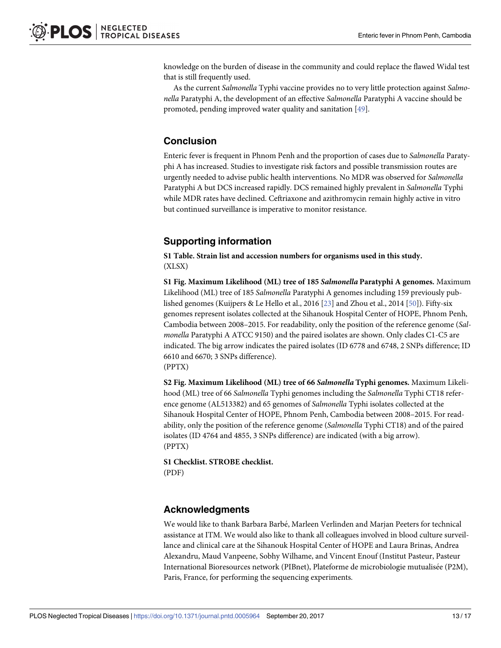<span id="page-12-0"></span>knowledge on the burden of disease in the community and could replace the flawed Widal test that is still frequently used.

As the current *Salmonella* Typhi vaccine provides no to very little protection against *Salmonella* Paratyphi A, the development of an effective *Salmonella* Paratyphi A vaccine should be promoted, pending improved water quality and sanitation [[49](#page-16-0)].

## **Conclusion**

Enteric fever is frequent in Phnom Penh and the proportion of cases due to *Salmonella* Paratyphi A has increased. Studies to investigate risk factors and possible transmission routes are urgently needed to advise public health interventions. No MDR was observed for *Salmonella* Paratyphi A but DCS increased rapidly. DCS remained highly prevalent in *Salmonella* Typhi while MDR rates have declined. Ceftriaxone and azithromycin remain highly active in vitro but continued surveillance is imperative to monitor resistance.

## **Supporting information**

**S1 [Table.](http://journals.plos.org/plosntds/article/asset?unique&id=info:doi/10.1371/journal.pntd.0005964.s001) Strain list and accession numbers for organisms used in this study.** (XLSX)

**S1 [Fig](http://journals.plos.org/plosntds/article/asset?unique&id=info:doi/10.1371/journal.pntd.0005964.s002). Maximum Likelihood (ML) tree of 185** *Salmonella* **Paratyphi A genomes.** Maximum Likelihood (ML) tree of 185 *Salmonella* Paratyphi A genomes including 159 previously published genomes (Kuijpers & Le Hello et al., 2016 [[23](#page-14-0)] and Zhou et al., 2014 [[50](#page-16-0)]). Fifty-six genomes represent isolates collected at the Sihanouk Hospital Center of HOPE, Phnom Penh, Cambodia between 2008–2015. For readability, only the position of the reference genome (*Salmonella* Paratyphi A ATCC 9150) and the paired isolates are shown. Only clades C1-C5 are indicated. The big arrow indicates the paired isolates (ID 6778 and 6748, 2 SNPs difference; ID 6610 and 6670; 3 SNPs difference). (PPTX)

**S2 [Fig](http://journals.plos.org/plosntds/article/asset?unique&id=info:doi/10.1371/journal.pntd.0005964.s003). Maximum Likelihood (ML) tree of 66** *Salmonella* **Typhi genomes.** Maximum Likelihood (ML) tree of 66 *Salmonella* Typhi genomes including the *Salmonella* Typhi CT18 reference genome (AL513382) and 65 genomes of *Salmonella* Typhi isolates collected at the Sihanouk Hospital Center of HOPE, Phnom Penh, Cambodia between 2008–2015. For readability, only the position of the reference genome (*Salmonella* Typhi CT18) and of the paired isolates (ID 4764 and 4855, 3 SNPs difference) are indicated (with a big arrow). (PPTX)

**S1 [Checklist.](http://journals.plos.org/plosntds/article/asset?unique&id=info:doi/10.1371/journal.pntd.0005964.s004) STROBE checklist.** (PDF)

## **Acknowledgments**

We would like to thank Barbara Barbé, Marleen Verlinden and Marjan Peeters for technical assistance at ITM. We would also like to thank all colleagues involved in blood culture surveillance and clinical care at the Sihanouk Hospital Center of HOPE and Laura Brinas, Andrea Alexandru, Maud Vanpeene, Sobhy Wilhame, and Vincent Enouf (Institut Pasteur, Pasteur International Bioresources network (PIBnet), Plateforme de microbiologie mutualisée (P2M), Paris, France, for performing the sequencing experiments.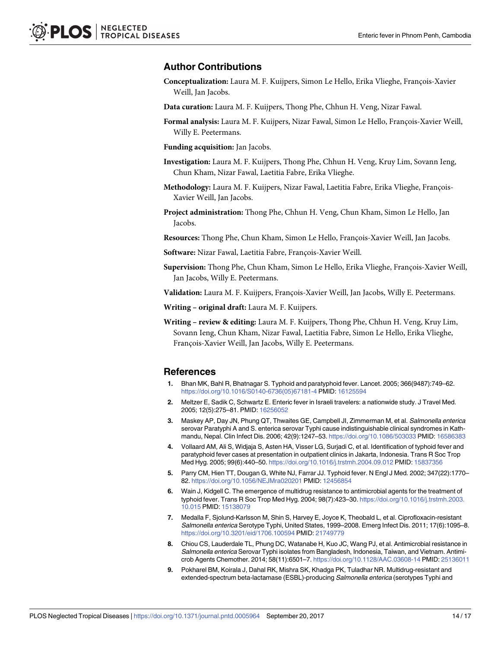#### <span id="page-13-0"></span>**Author Contributions**

**Conceptualization:** Laura M. F. Kuijpers, Simon Le Hello, Erika Vlieghe, François-Xavier Weill, Jan Jacobs.

**Data curation:** Laura M. F. Kuijpers, Thong Phe, Chhun H. Veng, Nizar Fawal.

- Formal analysis: Laura M. F. Kuijpers, Nizar Fawal, Simon Le Hello, François-Xavier Weill, Willy E. Peetermans.
- **Funding acquisition:** Jan Jacobs.
- **Investigation:** Laura M. F. Kuijpers, Thong Phe, Chhun H. Veng, Kruy Lim, Sovann Ieng, Chun Kham, Nizar Fawal, Laetitia Fabre, Erika Vlieghe.
- Methodology: Laura M. F. Kuijpers, Nizar Fawal, Laetitia Fabre, Erika Vlieghe, François-Xavier Weill, Jan Jacobs.
- **Project administration:** Thong Phe, Chhun H. Veng, Chun Kham, Simon Le Hello, Jan Jacobs.

Resources: Thong Phe, Chun Kham, Simon Le Hello, François-Xavier Weill, Jan Jacobs.

Software: Nizar Fawal, Laetitia Fabre, François-Xavier Weill.

**Supervision:** Thong Phe, Chun Kham, Simon Le Hello, Erika Vlieghe, François-Xavier Weill, Jan Jacobs, Willy E. Peetermans.

**Validation:** Laura M. F. Kuijpers, François-Xavier Weill, Jan Jacobs, Willy E. Peetermans.

**Writing – original draft:** Laura M. F. Kuijpers.

**Writing – review & editing:** Laura M. F. Kuijpers, Thong Phe, Chhun H. Veng, Kruy Lim, Sovann Ieng, Chun Kham, Nizar Fawal, Laetitia Fabre, Simon Le Hello, Erika Vlieghe, François-Xavier Weill, Jan Jacobs, Willy E. Peetermans.

#### **References**

- **[1](#page-1-0).** Bhan MK, Bahl R, Bhatnagar S. Typhoid and paratyphoid fever. Lancet. 2005; 366(9487):749–62. [https://doi.org/10.1016/S0140-6736\(05\)67181-4](https://doi.org/10.1016/S0140-6736(05)67181-4) PMID: [16125594](http://www.ncbi.nlm.nih.gov/pubmed/16125594)
- **[2](#page-1-0).** Meltzer E, Sadik C, Schwartz E. Enteric fever in Israeli travelers: a nationwide study. J Travel Med. 2005; 12(5):275–81. PMID: [16256052](http://www.ncbi.nlm.nih.gov/pubmed/16256052)
- **[3](#page-10-0).** Maskey AP, Day JN, Phung QT, Thwaites GE, Campbell JI, Zimmerman M, et al. Salmonella enterica serovar Paratyphi A and S. enterica serovar Typhi cause indistinguishable clinical syndromes in Kathmandu, Nepal. Clin Infect Dis. 2006; 42(9):1247–53. <https://doi.org/10.1086/503033> PMID: [16586383](http://www.ncbi.nlm.nih.gov/pubmed/16586383)
- **[4](#page-1-0).** Vollaard AM, Ali S, Widjaja S, Asten HA, Visser LG, Surjadi C, et al. Identification of typhoid fever and paratyphoid fever cases at presentation in outpatient clinics in Jakarta, Indonesia. Trans R Soc Trop Med Hyg. 2005; 99(6):440–50. <https://doi.org/10.1016/j.trstmh.2004.09.012> PMID: [15837356](http://www.ncbi.nlm.nih.gov/pubmed/15837356)
- **[5](#page-1-0).** Parry CM, Hien TT, Dougan G, White NJ, Farrar JJ. Typhoid fever. N Engl J Med. 2002; 347(22):1770– 82. <https://doi.org/10.1056/NEJMra020201> PMID: [12456854](http://www.ncbi.nlm.nih.gov/pubmed/12456854)
- **[6](#page-1-0).** Wain J, Kidgell C. The emergence of multidrug resistance to antimicrobial agents for the treatment of typhoid fever. Trans R Soc Trop Med Hyg. 2004; 98(7):423–30. [https://doi.org/10.1016/j.trstmh.2003.](https://doi.org/10.1016/j.trstmh.2003.10.015) [10.015](https://doi.org/10.1016/j.trstmh.2003.10.015) PMID: [15138079](http://www.ncbi.nlm.nih.gov/pubmed/15138079)
- **[7](#page-1-0).** Medalla F, Sjolund-Karlsson M, Shin S, Harvey E, Joyce K, Theobald L, et al. Ciprofloxacin-resistant Salmonella enterica Serotype Typhi, United States, 1999–2008. Emerg Infect Dis. 2011; 17(6):1095–8. <https://doi.org/10.3201/eid/1706.100594> PMID: [21749779](http://www.ncbi.nlm.nih.gov/pubmed/21749779)
- **[8](#page-1-0).** Chiou CS, Lauderdale TL, Phung DC, Watanabe H, Kuo JC, Wang PJ, et al. Antimicrobial resistance in Salmonella enterica Serovar Typhi isolates from Bangladesh, Indonesia, Taiwan, and Vietnam. Antimicrob Agents Chemother. 2014; 58(11):6501–7. <https://doi.org/10.1128/AAC.03608-14> PMID: [25136011](http://www.ncbi.nlm.nih.gov/pubmed/25136011)
- **[9](#page-1-0).** Pokharel BM, Koirala J, Dahal RK, Mishra SK, Khadga PK, Tuladhar NR. Multidrug-resistant and extended-spectrum beta-lactamase (ESBL)-producing Salmonella enterica (serotypes Typhi and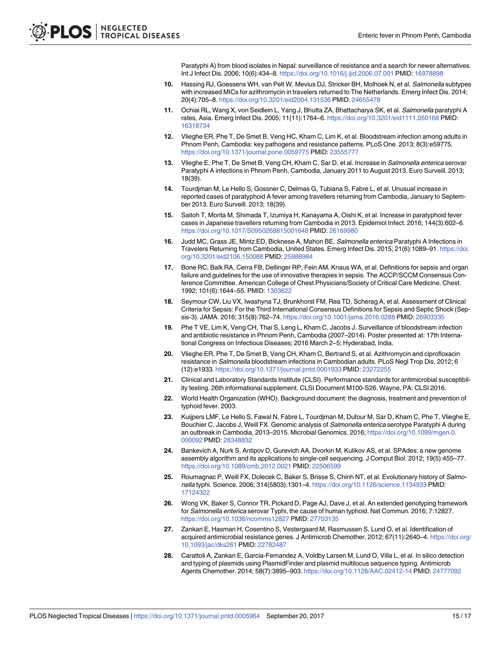Paratyphi A) from blood isolates in Nepal: surveillance of resistance and a search for newer alternatives. Int J Infect Dis. 2006; 10(6):434–8. <https://doi.org/10.1016/j.ijid.2006.07.001> PMID: [16978898](http://www.ncbi.nlm.nih.gov/pubmed/16978898)

- <span id="page-14-0"></span>**[10](#page-1-0).** Hassing RJ, Goessens WH, van Pelt W, Mevius DJ, Stricker BH, Molhoek N, et al. Salmonella subtypes with increased MICs for azithromycin in travelers returned to The Netherlands. Emerg Infect Dis. 2014; 20(4):705–8. <https://doi.org/10.3201/eid2004.131536> PMID: [24655478](http://www.ncbi.nlm.nih.gov/pubmed/24655478)
- **[11](#page-2-0).** Ochiai RL, Wang X, von Seidlein L, Yang J, Bhutta ZA, Bhattacharya SK, et al. Salmonella paratyphi A rates, Asia. Emerg Infect Dis. 2005; 11(11):1764–6. <https://doi.org/10.3201/eid1111.050168> PMID: [16318734](http://www.ncbi.nlm.nih.gov/pubmed/16318734)
- **[12](#page-2-0).** Vlieghe ER, Phe T, De Smet B, Veng HC, Kham C, Lim K, et al. Bloodstream infection among adults in Phnom Penh, Cambodia: key pathogens and resistance patterns. PLoS One. 2013; 8(3):e59775. <https://doi.org/10.1371/journal.pone.0059775> PMID: [23555777](http://www.ncbi.nlm.nih.gov/pubmed/23555777)
- **[13](#page-2-0).** Vlieghe E, Phe T, De Smet B, Veng CH, Kham C, Sar D, et al. Increase in Salmonella enterica serovar Paratyphi A infections in Phnom Penh, Cambodia, January 2011 to August 2013. Euro Surveill. 2013; 18(39).
- **[14](#page-10-0).** Tourdjman M, Le Hello S, Gossner C, Delmas G, Tubiana S, Fabre L, et al. Unusual increase in reported cases of paratyphoid A fever among travellers returning from Cambodia, January to September 2013. Euro Surveill. 2013; 18(39).
- **15.** Saitoh T, Morita M, Shimada T, Izumiya H, Kanayama A, Oishi K, et al. Increase in paratyphoid fever cases in Japanese travellers returning from Cambodia in 2013. Epidemiol Infect. 2016; 144(3):602–6. <https://doi.org/10.1017/S0950268815001648> PMID: [26169980](http://www.ncbi.nlm.nih.gov/pubmed/26169980)
- **[16](#page-2-0).** Judd MC, Grass JE, Mintz ED, Bicknese A, Mahon BE. Salmonella enterica Paratyphi A Infections in Travelers Returning from Cambodia, United States. Emerg Infect Dis. 2015; 21(6):1089–91. [https://doi.](https://doi.org/10.3201/eid2106.150088) [org/10.3201/eid2106.150088](https://doi.org/10.3201/eid2106.150088) PMID: [25988984](http://www.ncbi.nlm.nih.gov/pubmed/25988984)
- **[17](#page-2-0).** Bone RC, Balk RA, Cerra FB, Dellinger RP, Fein AM, Knaus WA, et al. Definitions for sepsis and organ failure and guidelines for the use of innovative therapies in sepsis. The ACCP/SCCM Consensus Conference Committee. American College of Chest Physicians/Society of Critical Care Medicine. Chest. 1992; 101(6):1644–55. PMID: [1303622](http://www.ncbi.nlm.nih.gov/pubmed/1303622)
- **[18](#page-2-0).** Seymour CW, Liu VX, Iwashyna TJ, Brunkhorst FM, Rea TD, Scherag A, et al. Assessment of Clinical Criteria for Sepsis: For the Third International Consensus Definitions for Sepsis and Septic Shock (Sepsis-3). JAMA. 2016; 315(8):762–74. <https://doi.org/10.1001/jama.2016.0288> PMID: [26903335](http://www.ncbi.nlm.nih.gov/pubmed/26903335)
- **[19](#page-2-0).** Phe T VE, Lim K, Veng CH, Thai S, Leng L, Kham C, Jacobs J. Surveillance of bloodstream infection and antibiotic resistance in Phnom Penh, Cambodia (2007–2014). Poster presented at: 17th International Congress on Infectious Diseases; 2016 March 2–5; Hyderabad, India.
- **[20](#page-2-0).** Vlieghe ER, Phe T, De Smet B, Veng CH, Kham C, Bertrand S, et al. Azithromycin and ciprofloxacin resistance in Salmonella bloodstream infections in Cambodian adults. PLoS Negl Trop Dis. 2012; 6 (12):e1933. <https://doi.org/10.1371/journal.pntd.0001933> PMID: [23272255](http://www.ncbi.nlm.nih.gov/pubmed/23272255)
- **[21](#page-2-0).** Clinical and Laboratory Standards Institute (CLSI). Performance standards for antimicrobial susceptibility testing. 26th informational supplement. CLSI Document M100-S26. Wayne, PA: CLSI 2016.
- **[22](#page-3-0).** World Health Organization (WHO). Background document: the diagnosis, treatment and prevention of typhoid fever. 2003.
- **[23](#page-3-0).** Kuijpers LMF, Le Hello S, Fawal N, Fabre L, Tourdjman M, Dufour M, Sar D, Kham C, Phe T, Vlieghe E, Bouchier C, Jacobs J, Weill FX. Genomic analysis of Salmonella enterica serotype Paratyphi A during an outbreak in Cambodia, 2013–2015. Microbial Genomics. 2016; [https://doi.org/10.1099/mgen.0.](https://doi.org/10.1099/mgen.0.000092) [000092](https://doi.org/10.1099/mgen.0.000092) PMID: [28348832](http://www.ncbi.nlm.nih.gov/pubmed/28348832)
- **[24](#page-3-0).** Bankevich A, Nurk S, Antipov D, Gurevich AA, Dvorkin M, Kulikov AS, et al. SPAdes: a new genome assembly algorithm and its applications to single-cell sequencing. J Comput Biol. 2012; 19(5):455–77. <https://doi.org/10.1089/cmb.2012.0021> PMID: [22506599](http://www.ncbi.nlm.nih.gov/pubmed/22506599)
- **[25](#page-3-0).** Roumagnac P, Weill FX, Dolecek C, Baker S, Brisse S, Chinh NT, et al. Evolutionary history of Salmonella typhi. Science. 2006; 314(5803):1301–4. <https://doi.org/10.1126/science.1134933> PMID: [17124322](http://www.ncbi.nlm.nih.gov/pubmed/17124322)
- **[26](#page-3-0).** Wong VK, Baker S, Connor TR, Pickard D, Page AJ, Dave J, et al. An extended genotyping framework for Salmonella enterica serovar Typhi, the cause of human typhoid. Nat Commun. 2016; 7:12827. <https://doi.org/10.1038/ncomms12827> PMID: [27703135](http://www.ncbi.nlm.nih.gov/pubmed/27703135)
- **[27](#page-3-0).** Zankari E, Hasman H, Cosentino S, Vestergaard M, Rasmussen S, Lund O, et al. Identification of acquired antimicrobial resistance genes. J Antimicrob Chemother. 2012; 67(11):2640–4. [https://doi.org/](https://doi.org/10.1093/jac/dks261) [10.1093/jac/dks261](https://doi.org/10.1093/jac/dks261) PMID: [22782487](http://www.ncbi.nlm.nih.gov/pubmed/22782487)
- **[28](#page-3-0).** Carattoli A, Zankari E, Garcia-Fernandez A, Voldby Larsen M, Lund O, Villa L, et al. In silico detection and typing of plasmids using PlasmidFinder and plasmid multilocus sequence typing. Antimicrob Agents Chemother. 2014; 58(7):3895–903. <https://doi.org/10.1128/AAC.02412-14> PMID: [24777092](http://www.ncbi.nlm.nih.gov/pubmed/24777092)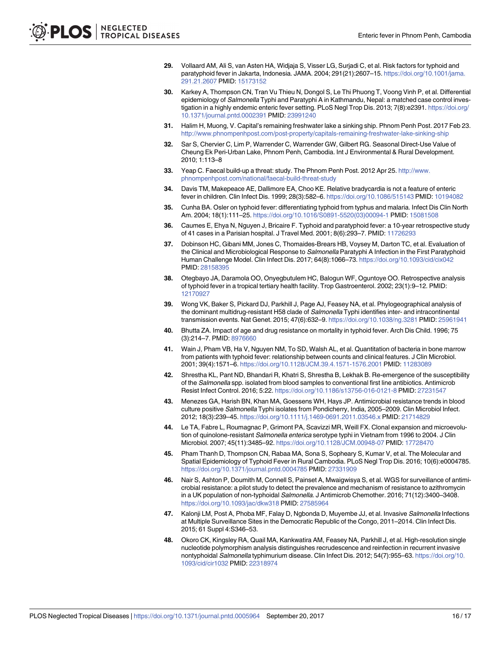- <span id="page-15-0"></span>**[29](#page-10-0).** Vollaard AM, Ali S, van Asten HA, Widjaja S, Visser LG, Surjadi C, et al. Risk factors for typhoid and paratyphoid fever in Jakarta, Indonesia. JAMA. 2004; 291(21):2607–15. [https://doi.org/10.1001/jama.](https://doi.org/10.1001/jama.291.21.2607) [291.21.2607](https://doi.org/10.1001/jama.291.21.2607) PMID: [15173152](http://www.ncbi.nlm.nih.gov/pubmed/15173152)
- **[30](#page-10-0).** Karkey A, Thompson CN, Tran Vu Thieu N, Dongol S, Le Thi Phuong T, Voong Vinh P, et al. Differential epidemiology of Salmonella Typhi and Paratyphi A in Kathmandu, Nepal: a matched case control investigation in a highly endemic enteric fever setting. PLoS Negl Trop Dis. 2013; 7(8):e2391. [https://doi.org/](https://doi.org/10.1371/journal.pntd.0002391) [10.1371/journal.pntd.0002391](https://doi.org/10.1371/journal.pntd.0002391) PMID: [23991240](http://www.ncbi.nlm.nih.gov/pubmed/23991240)
- **[31](#page-10-0).** Halim H, Muong, V. Capital's remaining freshwater lake a sinking ship. Phnom Penh Post. 2017 Feb 23. <http://www.phnompenhpost.com/post-property/capitals-remaining-freshwater-lake-sinking-ship>
- **[32](#page-10-0).** Sar S, Chervier C, Lim P, Warrender C, Warrender GW, Gilbert RG. Seasonal Direct-Use Value of Cheung Ek Peri-Urban Lake, Phnom Penh, Cambodia. Int J Environmental & Rural Development. 2010; 1:113–8
- **[33](#page-10-0).** Yeap C. Faecal build-up a threat: study. The Phnom Penh Post. 2012 Apr 25. [http://www.](http://www.phnompenhpost.com/national/faecal-build-threat-study) [phnompenhpost.com/national/faecal-build-threat-study](http://www.phnompenhpost.com/national/faecal-build-threat-study)
- **[34](#page-10-0).** Davis TM, Makepeace AE, Dallimore EA, Choo KE. Relative bradycardia is not a feature of enteric fever in children. Clin Infect Dis. 1999; 28(3):582–6. <https://doi.org/10.1086/515143> PMID: [10194082](http://www.ncbi.nlm.nih.gov/pubmed/10194082)
- **[35](#page-10-0).** Cunha BA. Osler on typhoid fever: differentiating typhoid from typhus and malaria. Infect Dis Clin North Am. 2004; 18(1):111–25. [https://doi.org/10.1016/S0891-5520\(03\)00094-1](https://doi.org/10.1016/S0891-5520(03)00094-1) PMID: [15081508](http://www.ncbi.nlm.nih.gov/pubmed/15081508)
- **[36](#page-10-0).** Caumes E, Ehya N, Nguyen J, Bricaire F. Typhoid and paratyphoid fever: a 10-year retrospective study of 41 cases in a Parisian hospital. J Travel Med. 2001; 8(6):293–7. PMID: [11726293](http://www.ncbi.nlm.nih.gov/pubmed/11726293)
- **[37](#page-10-0).** Dobinson HC, Gibani MM, Jones C, Thomaides-Brears HB, Voysey M, Darton TC, et al. Evaluation of the Clinical and Microbiological Response to Salmonella Paratyphi A Infection in the First Paratyphoid Human Challenge Model. Clin Infect Dis. 2017; 64(8):1066–73. <https://doi.org/10.1093/cid/cix042> PMID: [28158395](http://www.ncbi.nlm.nih.gov/pubmed/28158395)
- **[38](#page-10-0).** Otegbayo JA, Daramola OO, Onyegbutulem HC, Balogun WF, Oguntoye OO. Retrospective analysis of typhoid fever in a tropical tertiary health facility. Trop Gastroenterol. 2002; 23(1):9–12. PMID: [12170927](http://www.ncbi.nlm.nih.gov/pubmed/12170927)
- **[39](#page-11-0).** Wong VK, Baker S, Pickard DJ, Parkhill J, Page AJ, Feasey NA, et al. Phylogeographical analysis of the dominant multidrug-resistant H58 clade of Salmonella Typhi identifies inter- and intracontinental transmission events. Nat Genet. 2015; 47(6):632–9. <https://doi.org/10.1038/ng.3281> PMID: [25961941](http://www.ncbi.nlm.nih.gov/pubmed/25961941)
- **40.** Bhutta ZA. Impact of age and drug resistance on mortality in typhoid fever. Arch Dis Child. 1996; 75 (3):214–7. PMID: [8976660](http://www.ncbi.nlm.nih.gov/pubmed/8976660)
- **[41](#page-11-0).** Wain J, Pham VB, Ha V, Nguyen NM, To SD, Walsh AL, et al. Quantitation of bacteria in bone marrow from patients with typhoid fever: relationship between counts and clinical features. J Clin Microbiol. 2001; 39(4):1571–6. <https://doi.org/10.1128/JCM.39.4.1571-1576.2001> PMID: [11283089](http://www.ncbi.nlm.nih.gov/pubmed/11283089)
- **[42](#page-11-0).** Shrestha KL, Pant ND, Bhandari R, Khatri S, Shrestha B, Lekhak B. Re-emergence of the susceptibility of the Salmonella spp. isolated from blood samples to conventional first line antibiotics. Antimicrob Resist Infect Control. 2016; 5:22. <https://doi.org/10.1186/s13756-016-0121-8> PMID: [27231547](http://www.ncbi.nlm.nih.gov/pubmed/27231547)
- **43.** Menezes GA, Harish BN, Khan MA, Goessens WH, Hays JP. Antimicrobial resistance trends in blood culture positive Salmonella Typhi isolates from Pondicherry, India, 2005–2009. Clin Microbiol Infect. 2012; 18(3):239–45. <https://doi.org/10.1111/j.1469-0691.2011.03546.x> PMID: [21714829](http://www.ncbi.nlm.nih.gov/pubmed/21714829)
- **[44](#page-11-0).** Le TA, Fabre L, Roumagnac P, Grimont PA, Scavizzi MR, Weill FX. Clonal expansion and microevolution of quinolone-resistant Salmonella enterica serotype typhi in Vietnam from 1996 to 2004. J Clin Microbiol. 2007; 45(11):3485–92. <https://doi.org/10.1128/JCM.00948-07> PMID: [17728470](http://www.ncbi.nlm.nih.gov/pubmed/17728470)
- **[45](#page-11-0).** Pham Thanh D, Thompson CN, Rabaa MA, Sona S, Sopheary S, Kumar V, et al. The Molecular and Spatial Epidemiology of Typhoid Fever in Rural Cambodia. PLoS Negl Trop Dis. 2016; 10(6):e0004785. <https://doi.org/10.1371/journal.pntd.0004785> PMID: [27331909](http://www.ncbi.nlm.nih.gov/pubmed/27331909)
- **[46](#page-11-0).** Nair S, Ashton P, Doumith M, Connell S, Painset A, Mwaigwisya S, et al. WGS for surveillance of antimicrobial resistance: a pilot study to detect the prevalence and mechanism of resistance to azithromycin in a UK population of non-typhoidal Salmonella. J Antimicrob Chemother. 2016; 71(12):3400-3408. <https://doi.org/10.1093/jac/dkw318> PMID: [27585964](http://www.ncbi.nlm.nih.gov/pubmed/27585964)
- **[47](#page-11-0).** Kalonji LM, Post A, Phoba MF, Falay D, Ngbonda D, Muyembe JJ, et al. Invasive Salmonella Infections at Multiple Surveillance Sites in the Democratic Republic of the Congo, 2011–2014. Clin Infect Dis. 2015; 61 Suppl 4:S346–53.
- **[48](#page-11-0).** Okoro CK, Kingsley RA, Quail MA, Kankwatira AM, Feasey NA, Parkhill J, et al. High-resolution single nucleotide polymorphism analysis distinguishes recrudescence and reinfection in recurrent invasive nontyphoidal Salmonella typhimurium disease. Clin Infect Dis. 2012; 54(7):955–63. [https://doi.org/10.](https://doi.org/10.1093/cid/cir1032) [1093/cid/cir1032](https://doi.org/10.1093/cid/cir1032) PMID: [22318974](http://www.ncbi.nlm.nih.gov/pubmed/22318974)